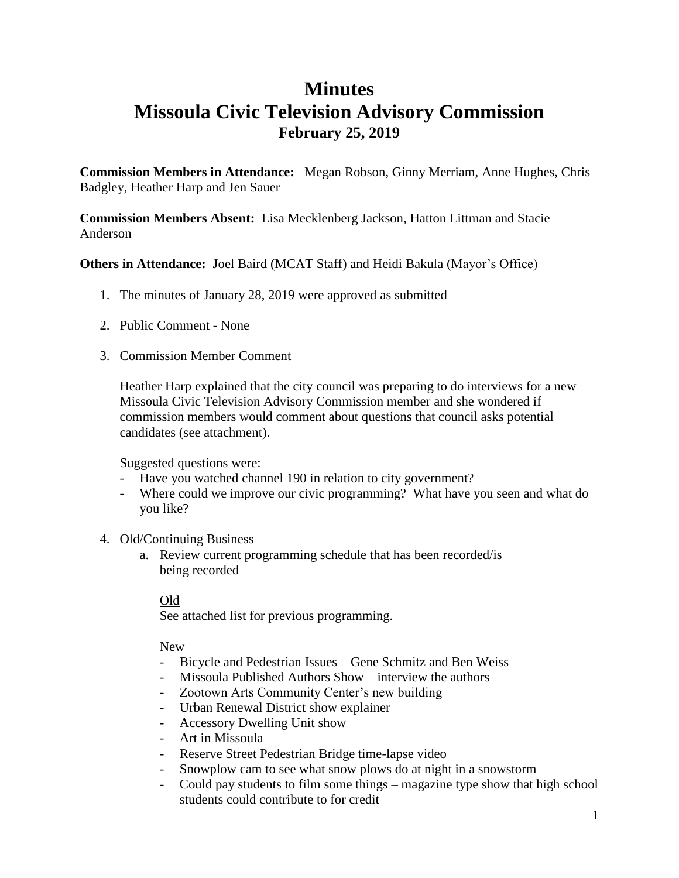### **Minutes Missoula Civic Television Advisory Commission February 25, 2019**

**Commission Members in Attendance:** Megan Robson, Ginny Merriam, Anne Hughes, Chris Badgley, Heather Harp and Jen Sauer

**Commission Members Absent:** Lisa Mecklenberg Jackson, Hatton Littman and Stacie Anderson

**Others in Attendance:** Joel Baird (MCAT Staff) and Heidi Bakula (Mayor's Office)

- 1. The minutes of January 28, 2019 were approved as submitted
- 2. Public Comment None
- 3. Commission Member Comment

Heather Harp explained that the city council was preparing to do interviews for a new Missoula Civic Television Advisory Commission member and she wondered if commission members would comment about questions that council asks potential candidates (see attachment).

Suggested questions were:

- Have you watched channel 190 in relation to city government?
- Where could we improve our civic programming? What have you seen and what do you like?
- 4. Old/Continuing Business
	- a. Review current programming schedule that has been recorded/is being recorded

#### Old

See attached list for previous programming.

#### New

- Bicycle and Pedestrian Issues Gene Schmitz and Ben Weiss
- Missoula Published Authors Show interview the authors
- Zootown Arts Community Center's new building
- Urban Renewal District show explainer
- Accessory Dwelling Unit show
- Art in Missoula
- Reserve Street Pedestrian Bridge time-lapse video
- Snowplow cam to see what snow plows do at night in a snowstorm
- Could pay students to film some things magazine type show that high school students could contribute to for credit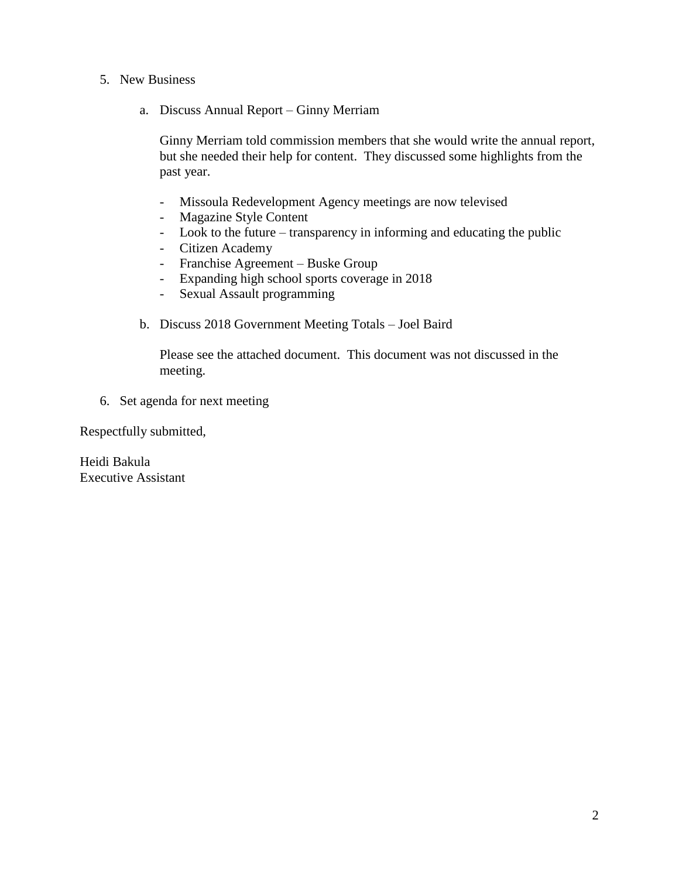- 5. New Business
	- a. Discuss Annual Report Ginny Merriam

Ginny Merriam told commission members that she would write the annual report, but she needed their help for content. They discussed some highlights from the past year.

- Missoula Redevelopment Agency meetings are now televised
- Magazine Style Content
- Look to the future transparency in informing and educating the public
- Citizen Academy
- Franchise Agreement Buske Group
- Expanding high school sports coverage in 2018
- Sexual Assault programming
- b. Discuss 2018 Government Meeting Totals Joel Baird

Please see the attached document. This document was not discussed in the meeting.

6. Set agenda for next meeting

Respectfully submitted,

Heidi Bakula Executive Assistant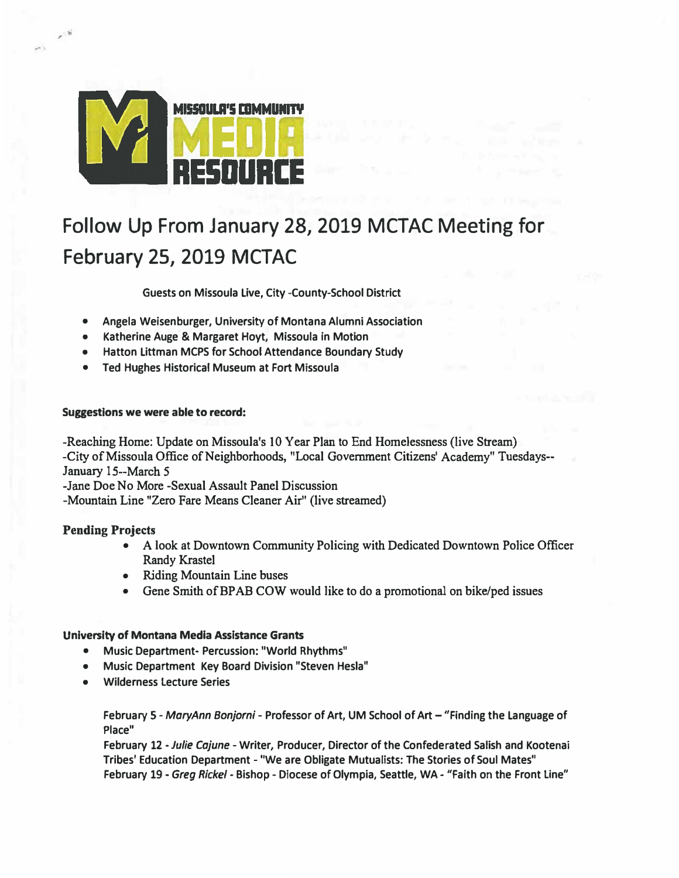

## Follow Up From January 28, 2019 MCTAC Meeting for February 25, 2019 MCTAC

**Guests on Missoula Live, City-County-School District** 

- **• Angela Weisenburger, University of Montana Alumni Association**
- **• Katherine Auge & Margaret Hoyt, Missoula in Motion**
- **• Hatton Littman MCPS for School Attendance Boundary Study**
- **• Ted Hughes Historical Museum at Fort Missoula**

#### **Suggestions we were able to record:**

**-Reaching Home: Update on Missoula's 10 Year Plan to End Homelessness (live Stream) -City of Missoula Office of Neighborhoods, "Local Government Citizens' Academy**0 **Tuesdays-- January 15--March** *5*

**-Jane Doe No More -Sexual Assault Panel Discussion**

**-Mountain Line "Zero Fare Means Cleaner Air" (live streamed)** 

#### **Pending Projects**

,

- **• A look at Downtown Community Policing with Dedicated Downtown Police Officer Randy Krastel**
- **• Riding Mountain Line buses**
- **• Gene Smith of BP AB COW would like to do a promotional on bike/ped issues**

#### **University of Montana Media Assistance Grants**

- **•Music Department- Percussion: "World Rhythms"**
- **•Music Department Key Board Division "Steven Hesla"**
- **•Wilderness Lecture Series**

**February S -** *MaryAnn Bonjorni* **- Professor of Art, UM School of Art - "Finding the Language of Place"**

**February 12 -***Julie Cajune* **- Writer, Producer, Director of the Confederated Salish and Kootenai Tribes' Education Department - "We are Obligate Mutualists: The Stories of Soul Mates" February 19 -** *Greg Rickel* **- Bishop - Diocese of Olympia, Seattle, WA- "Faith on the Front Line"**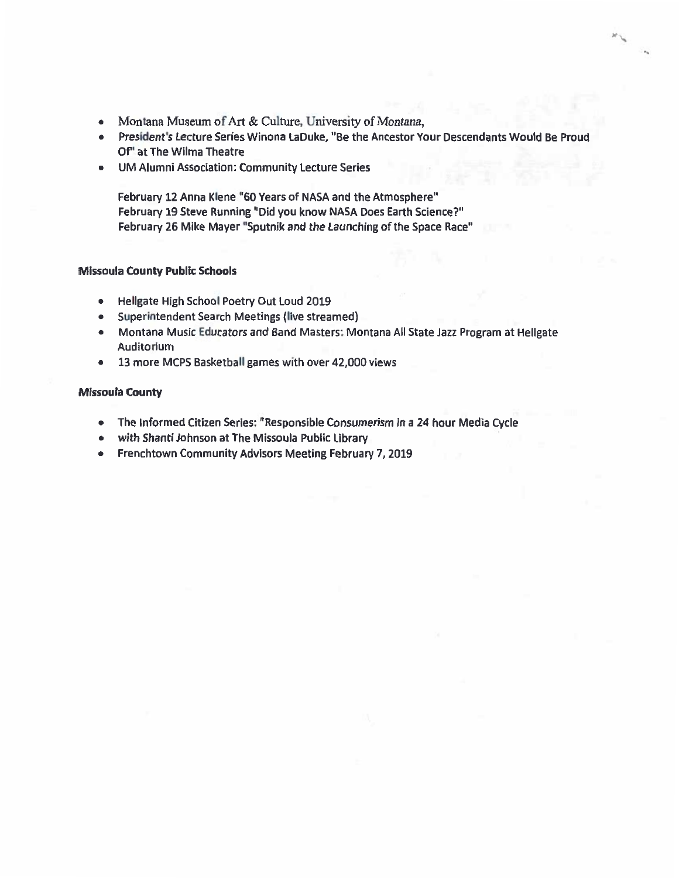- Montana Museum of Art & Culture, University of Montana,
- · President's Lecture Series Winona LaDuke, "Be the Ancestor Your Descendants Would Be Proud Of" at The Wilma Theatre
- . UM Alumni Association: Community Lecture Series

February 12 Anna Klene "60 Years of NASA and the Atmosphere" February 19 Steve Running "Did you know NASA Does Earth Science?" February 26 Mike Mayer "Sputnik and the Launching of the Space Race"

#### **Missoula County Public Schools**

- · Hellgate High School Poetry Out Loud 2019
- · Superintendent Search Meetings (live streamed)
- Montana Music Educators and Band Masters: Montana All State Jazz Program at Hellgate Auditorium
- 13 more MCPS Basketball games with over 42,000 views

#### **Missoula County**

- The Informed Citizen Series: "Responsible Consumerism in a 24 hour Media Cycle
- . with Shanti Johnson at The Missoula Public Library
- Frenchtown Community Advisors Meeting February 7, 2019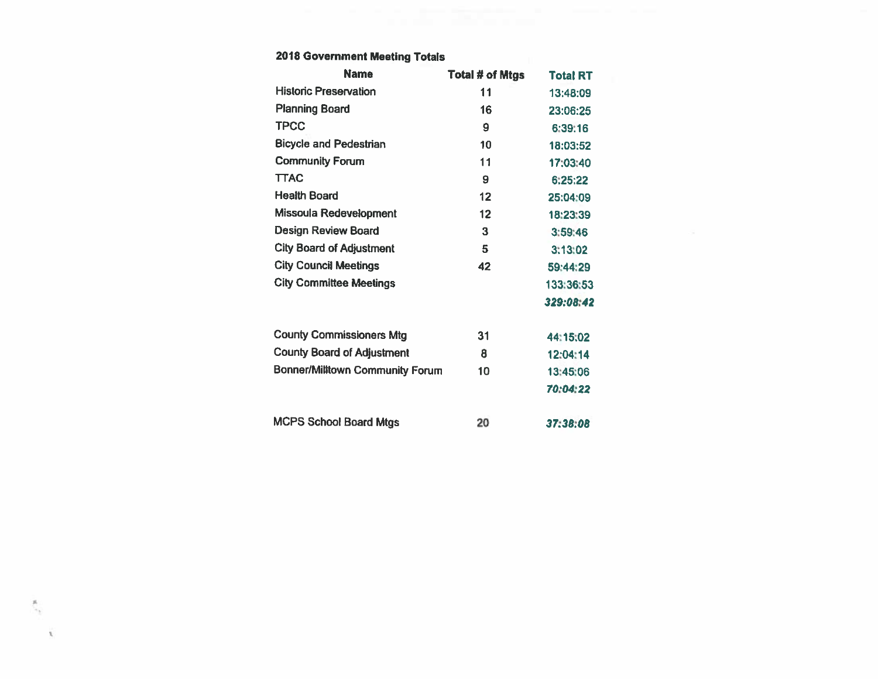#### 2018 Government Meeting Totals

 $\mathcal{R}$ 

 $\mathcal{R}$ 

| <b>Name</b>                            | Total # of Mtgs   | <b>Total RT</b> |
|----------------------------------------|-------------------|-----------------|
| <b>Historic Preservation</b>           | 11                | 13:48:09        |
| <b>Planning Board</b>                  | 16                | 23:06:25        |
| <b>TPCC</b>                            | 9                 | 6:39:16         |
| <b>Bicycle and Pedestrian</b>          | 10                | 18:03:52        |
| <b>Community Forum</b>                 | 11                | 17:03:40        |
| <b>TTAC</b>                            | 9                 | 6,25:22         |
| <b>Health Board</b>                    | 12                | 25:04:09        |
| Missoula Redevelopment                 | $12 \overline{ }$ | 18:23:39        |
| <b>Design Review Board</b>             | 3                 | 3:59:46         |
| <b>City Board of Adjustment</b>        | 5                 | 3:13:02         |
| <b>City Council Meetings</b>           | 42                | 59:44:29        |
| <b>City Committee Meetings</b>         |                   | 133:36:53       |
|                                        |                   | 329:08:42       |
| <b>County Commissioners Mtg</b>        | 31                | 44:15:02        |
| <b>County Board of Adjustment</b>      | 8                 | 12:04:14        |
| <b>Bonner/Milltown Community Forum</b> | 10                | 13:45:06        |
|                                        |                   | 70:04:22        |
| <b>MCPS School Board Mtgs</b>          | 20                | 37.38.08        |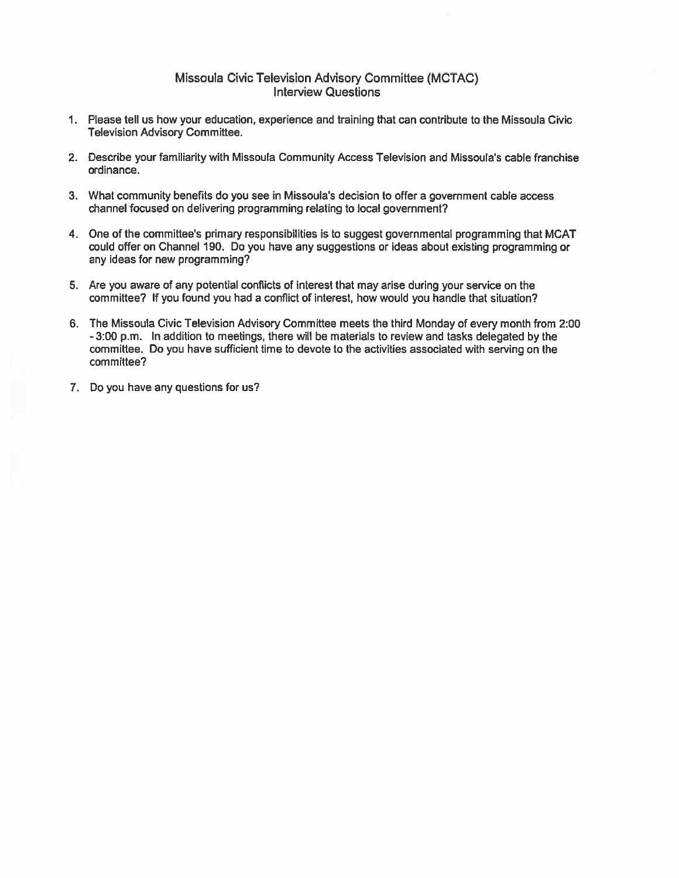#### Missoula Civic Television Advisory Committee (MCTAC) **Interview Questions**

- 1. Please tell us how your education, experience and training that can contribute to the Missoula Civic **Television Advisory Committee.**
- 2. Describe your familiarity with Missoula Community Access Television and Missoula's cable franchise ordinance.
- 3. What community benefits do you see in Missoula's decision to offer a government cable access channel focused on delivering programming relating to local government?
- 4. One of the committee's primary responsibilities is to suggest governmental programming that MCAT could offer on Channel 190. Do you have any suggestions or ideas about existing programming or any ideas for new programming?
- 5. Are you aware of any potential conflicts of interest that may arise during your service on the committee? If you found you had a conflict of interest, how would you handle that situation?
- 6. The Missoula Civic Television Advisory Committee meets the third Monday of every month from 2:00 - 3:00 p.m. In addition to meetings, there will be materials to review and tasks delegated by the committee. Do you have sufficient time to devote to the activities associated with serving on the committee?
- 7. Do you have any questions for us?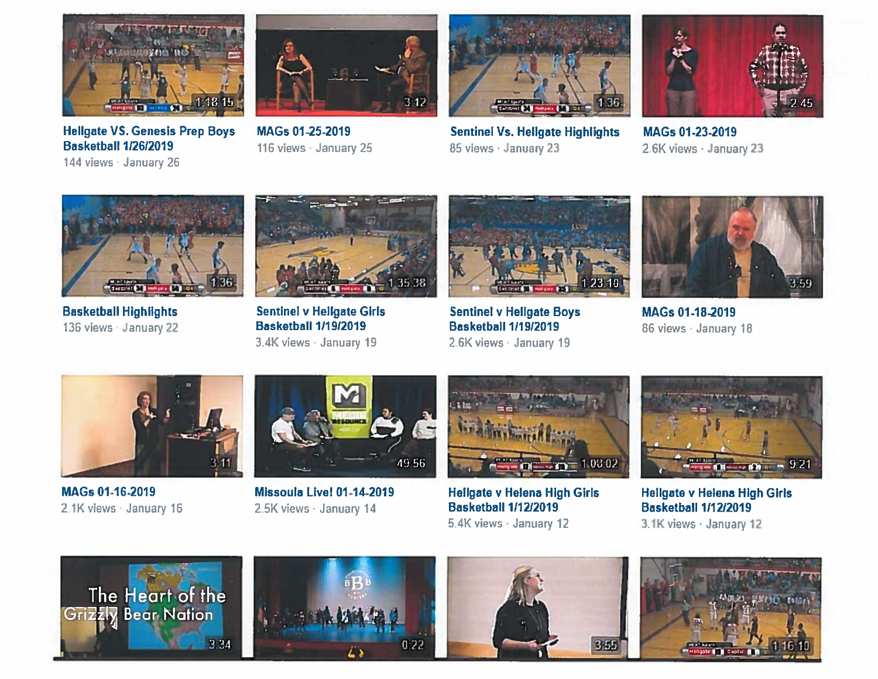

**Hellgate VS. Genesis Prep Boys Basketball 1/26/2019** 

144 views January 26



MAGs 01-25-2019 116 views January 25



**Sentinel Vs. Hellgate Highlights** 85 views · January 23



MAGs 01-23-2019 2.6K views · January 23



**Basketball Highlights** 136 views January 22



**Sentinel v Hellgate Girls Basketball 1/19/2019** 3.4K views - January 19



**Sentinel v Hellgate Boys Basketball 1/19/2019** 2.6K views January 19



MAGs 01-18-2019 86 views AJanuary 18



MAGs 01-16-2019 2.1K views January 16



Missoula Live! 01-14-2019 2.5K views VJanuary 14



**Hellgate v Helena High Girls Basketball 1/12/2019** 5.4K views - January 12



**Hellgate v Helena High Girls Basketball 1/12/2019** 3.1K views - January 12







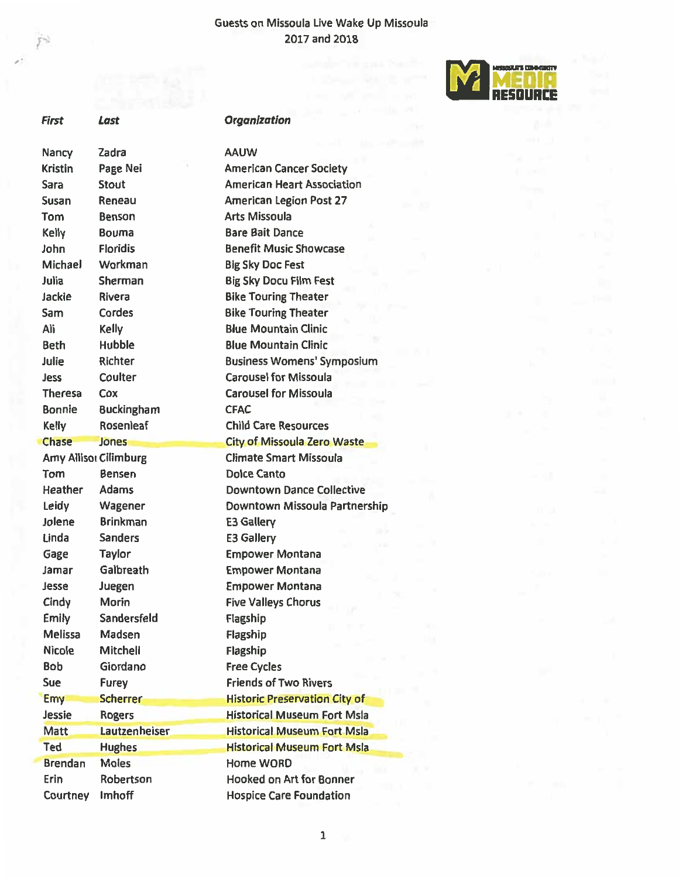#### Guests on Missoula Live Wake Up Missoula 2017 and 2018



| <b>First</b>   | Last                  | <b>Organization</b>                  |
|----------------|-----------------------|--------------------------------------|
| Nancy          | Zadra                 | <b>AAUW</b>                          |
| <b>Kristin</b> | Page Nei              | <b>American Cancer Society</b>       |
| <b>Sara</b>    | <b>Stout</b>          | <b>American Heart Association</b>    |
| Susan          | Reneau                | <b>American Legion Post 27</b>       |
| Tom            | Benson                | <b>Arts Missoula</b>                 |
| Kelly          | <b>Bouma</b>          | <b>Bare Bait Dance</b>               |
| John           | <b>Floridis</b>       | <b>Benefit Music Showcase</b>        |
| <b>Michael</b> | Workman               | <b>Big Sky Doc Fest</b>              |
| Julia          | Sherman               | <b>Big Sky Docu Film Fest</b>        |
| Jackie         | <b>Rivera</b>         | <b>Bike Touring Theater</b>          |
| Sam            | Cordes                | <b>Bike Touring Theater</b>          |
| Ali            | <b>Kelly</b>          | <b>Blue Mountain Clinic</b>          |
| <b>Beth</b>    | Hubble                | <b>Blue Mountain Clinic</b>          |
| Julie          | Richter               | <b>Business Womens' Symposium</b>    |
| Jess           | Coulter               | <b>Carousel for Missoula</b>         |
| <b>Theresa</b> | Cox                   | <b>Carousel for Missoula</b>         |
| <b>Bonnie</b>  | <b>Buckingham</b>     | <b>CFAC</b>                          |
| Kelly          | Rosenleaf             | <b>Child Care Resources</b>          |
| Chase          | Jones                 | <b>City of Missoula Zero Waste</b>   |
|                | Amy Allisor Cilimburg | <b>Climate Smart Missoula</b>        |
| Tom            | <b>Bensen</b>         | <b>Dolce Canto</b>                   |
| Heather        | <b>Adams</b>          | <b>Downtown Dance Collective</b>     |
| Leidy          | Wagener               | Downtown Missoula Partnershi         |
| Jolene         | <b>Brinkman</b>       | <b>E3 Gallery</b>                    |
| Linda          | <b>Sanders</b>        | <b>E3 Gallery</b>                    |
| Gage           | <b>Taylor</b>         | <b>Empower Montana</b>               |
| Jamar          | Galbreath             | <b>Empower Montana</b>               |
| Jesse          | Juegen                | <b>Empower Montana</b>               |
| Cindy          | Morin                 | <b>Five Valleys Chorus</b>           |
| <b>Emily</b>   | Sandersfeld           | Flagship                             |
| Melissa        | Madsen                | Flagship                             |
| <b>Nicole</b>  | Mitchell              | Flagship                             |
| <b>Bob</b>     | Giordano              | <b>Free Cycles</b>                   |
| Sue            | <b>Furey</b>          | <b>Friends of Two Rivers</b>         |
| <b>Emy</b>     | <b>Scherrer</b>       | <b>Historic Preservation City of</b> |
| Jessie         | <b>Rogers</b>         | <b>Historical Museum Fort Msla</b>   |
| <b>Matt</b>    | Lautzenheiser         | <b>Historical Museum Fort Msla</b>   |
| <b>Ted</b>     | <b>Hughes</b>         | <b>Historical Museum Fort Msla</b>   |
| <b>Brendan</b> | <b>Moles</b>          | Home WORD                            |
| Erin           | Robertson             | <b>Hooked on Art for Bonner</b>      |
| Courtney       | Imhoff                | <b>Hospice Care Foundation</b>       |

 $54$ 



Partnership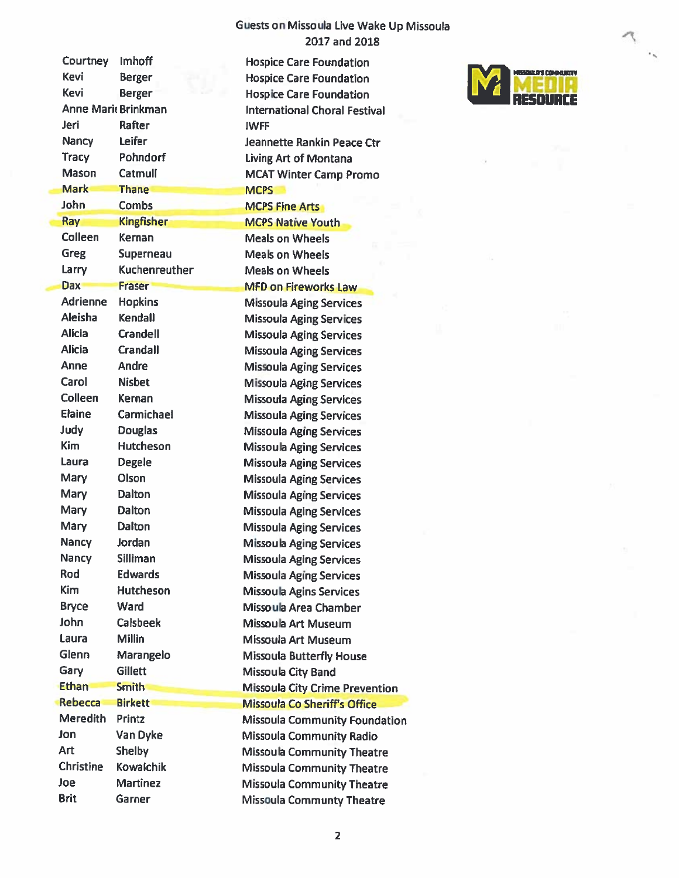### Guests on Missoula Live Wake Up Missoula 2017 and 2018

| <b>Courtney</b>  | <b>Imhoff</b>              | <b>Hospice Care Foundation</b>        |  |
|------------------|----------------------------|---------------------------------------|--|
| <b>Kevi</b>      | <b>Berger</b>              | <b>Hospice Care Foundation</b>        |  |
| <b>Kevi</b>      | <b>Berger</b>              | <b>Hospice Care Foundation</b>        |  |
|                  | <b>Anne Marie Brinkman</b> | <b>International Choral Festival</b>  |  |
| Jeri             | Rafter                     | <b>IWFF</b>                           |  |
| Nancy            | Leifer                     | Jeannette Rankin Peace Ctr            |  |
| <b>Tracy</b>     | Pohndorf                   | Living Art of Montana                 |  |
| <b>Mason</b>     | Catmull                    | <b>MCAT Winter Camp Promo</b>         |  |
| <b>Mark</b>      | <b>Thane</b>               | <b>MCPS</b>                           |  |
| <b>John</b>      | <b>Combs</b>               | <b>MCPS Fine Arts</b>                 |  |
| Ray              | <b>Kingfisher</b>          | <b>MCPS Native Youth</b>              |  |
| Colleen          | Kernan                     | <b>Meals on Wheels</b>                |  |
| <b>Greg</b>      | Superneau                  | <b>Meals on Wheels</b>                |  |
| Larry            | Kuchenreuther              | <b>Meals on Wheels</b>                |  |
| <b>Dax</b>       | <b>Fraser</b>              | <b>MFD on Fireworks Law</b>           |  |
| <b>Adrienne</b>  | <b>Hopkins</b>             | <b>Missoula Aging Services</b>        |  |
| Aleisha          | <b>Kendall</b>             | <b>Missoula Aging Services</b>        |  |
| <b>Alicia</b>    | <b>Crandell</b>            | <b>Missoula Aging Services</b>        |  |
| <b>Alicia</b>    | <b>Crandall</b>            | <b>Missoula Aging Services</b>        |  |
| Anne             | Andre                      | <b>Missoula Aging Services</b>        |  |
| Carol            | <b>Nisbet</b>              | <b>Missoula Aging Services</b>        |  |
| <b>Colleen</b>   | <b>Kernan</b>              | <b>Missoula Aging Services</b>        |  |
| <b>Elaine</b>    | Carmichael                 | <b>Missoula Aging Services</b>        |  |
| Judy             | <b>Douglas</b>             | <b>Missoula Aging Services</b>        |  |
| <b>Kim</b>       | <b>Hutcheson</b>           | <b>Missoula Aging Services</b>        |  |
| Laura            | <b>Degele</b>              | <b>Missoula Aging Services</b>        |  |
| <b>Mary</b>      | Olson                      | <b>Missoula Aging Services</b>        |  |
| <b>Mary</b>      | Dalton                     | <b>Missoula Aging Services</b>        |  |
| Mary             | <b>Dalton</b>              | <b>Missoula Aging Services</b>        |  |
| Mary             | <b>Dalton</b>              | <b>Missoula Aging Services</b>        |  |
| Nancy            | Jordan                     | <b>Missoula Aging Services</b>        |  |
| <b>Nancy</b>     | <b>Silliman</b>            |                                       |  |
| Rod              | <b>Edwards</b>             | <b>Missoula Aging Services</b>        |  |
| <b>Kim</b>       | <b>Hutcheson</b>           | <b>Missoula Aging Services</b>        |  |
| <b>Bryce</b>     | Ward                       | <b>Missoula Agins Services</b>        |  |
| John             | <b>Calsbeek</b>            | Missoula Area Chamber                 |  |
| Laura            | <b>Millin</b>              | Missoula Art Museum                   |  |
| Glenn            |                            | <b>Missoula Art Museum</b>            |  |
|                  | Marangelo                  | <b>Missoula Butterfly House</b>       |  |
| Gary             | <b>Gillett</b>             | <b>Missoula City Band</b>             |  |
| <b>Ethan</b>     | <b>Smith</b>               | <b>Missoula City Crime Prevention</b> |  |
| Rebecca          | <b>Birkett</b>             | <b>Missoula Co Sheriff's Office</b>   |  |
| <b>Meredith</b>  | Printz                     | <b>Missoula Community Foundation</b>  |  |
| Jon              | Van Dyke                   | Missoula Community Radio              |  |
| <b>Art</b>       | <b>Shelby</b>              | <b>Missoula Community Theatre</b>     |  |
| <b>Christine</b> | <b>Kowalchik</b>           | <b>Missoula Community Theatre</b>     |  |
| Joe              | <b>Martinez</b>            | <b>Missoula Community Theatre</b>     |  |
| <b>Brit</b>      | Garner                     | <b>Missoula Communty Theatre</b>      |  |



Ó.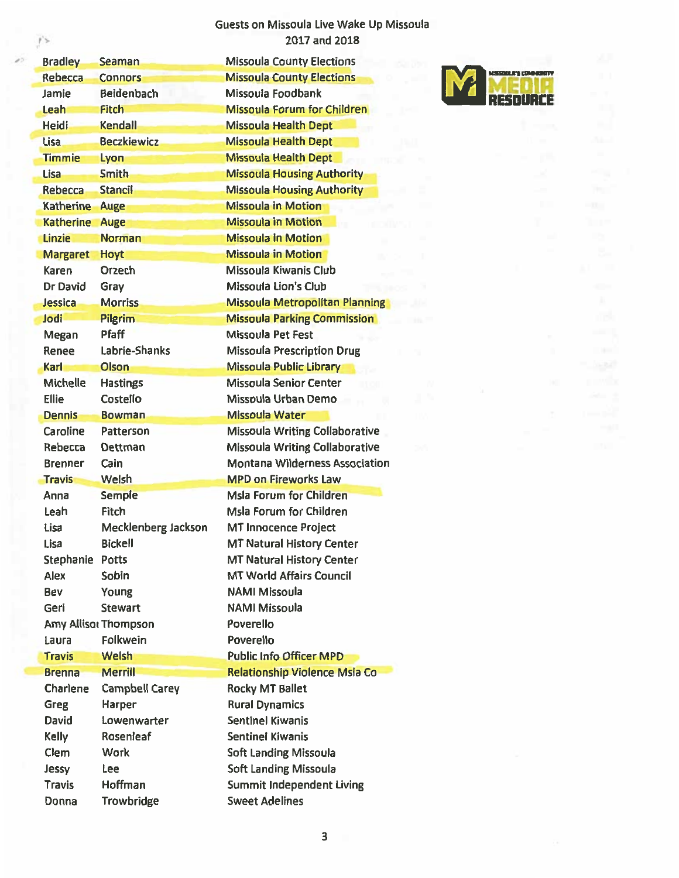Guests on Missoula Live Wake Up Missoula 2017 and 2018

 $\mathbf{r}$ 

| <b>Bradley</b>   | <b>Seaman</b>         | <b>Missoula County Elections</b>      |                      |
|------------------|-----------------------|---------------------------------------|----------------------|
| Rebecca          | <b>Connors</b>        | <b>Missoula County Elections</b>      | <b>MOSSOULA'S CO</b> |
| Jamie            | <b>Beidenbach</b>     | Missoula Foodbank                     |                      |
| Leah             | <b>Fitch</b>          | Missoula Forum for Children           |                      |
| <b>Heidi</b>     | Kendail               | <b>Missoula Health Dept</b>           |                      |
| <b>Lisa</b>      | <b>Beczkiewicz</b>    | <b>Missoula Health Dept</b>           |                      |
| <b>Timmie</b>    | Lyon                  | <b>Missoula Health Dept</b>           |                      |
| <b>Lisa</b>      | <b>Smith</b>          | <b>Missoula Housing Authority</b>     |                      |
| Rebecca          | <b>Stancil</b>        | <b>Missoula Housing Authority</b>     |                      |
| <b>Katherine</b> | <b>Auge</b>           | <b>Missoula in Motion</b>             |                      |
| <b>Katherine</b> | Auge                  | <b>Missoula in Motion</b>             |                      |
| Linzie           | <b>Norman</b>         | <b>Missoula in Motion</b>             |                      |
| <b>Margaret</b>  | Hoyt                  | <b>Missoula in Motion</b>             |                      |
| Karen            | <b>Orzech</b>         | Missoula Kiwanis Club                 |                      |
| Dr David         | Gray                  | <b>Missoula Lion's Club</b>           |                      |
| Jessica          | <b>Morriss</b>        | <b>Missoula Metropolitan Planning</b> |                      |
| Jodi             | Pilgrim               | <b>Missoula Parking Commission</b>    |                      |
| Megan            | Pfaff                 | <b>Missoula Pet Fest</b>              |                      |
| Renee            | Labrie-Shanks         | <b>Missoula Prescription Drug</b>     |                      |
| Karl             | Olson                 | <b>Missoula Public Library</b>        |                      |
| <b>Michelle</b>  | <b>Hastings</b>       | <b>Missoula Senior Center</b>         |                      |
| <b>Ellie</b>     | Costello              | Missoula Urban Demo                   |                      |
| <b>Dennis</b>    | <b>Bowman</b>         | <b>Missoula Water</b>                 |                      |
| Caroline         | Patterson             | <b>Missoula Writing Collaborative</b> |                      |
| Rebecca          | Dettman               | <b>Missoula Writing Collaborative</b> |                      |
| <b>Brenner</b>   | Cain                  | <b>Montana Wilderness Association</b> |                      |
| <b>Travis</b>    | <b>Welsh</b>          | <b>MPD on Fireworks Law</b>           |                      |
| Anna             | <b>Semple</b>         | <b>Msla Forum for Children</b>        |                      |
| Leah             | Fitch                 | Msla Forum for Children               |                      |
| Lisa             | Mecklenberg Jackson   | <b>MT Innocence Project</b>           |                      |
| Lisa             | <b>Bickell</b>        | <b>MT Natural History Center</b>      |                      |
| Stephanie Potts  |                       | <b>MT Natural History Center</b>      |                      |
| Alex             | Sobin                 | <b>MT World Affairs Council</b>       |                      |
| Bev              | Young                 | <b>NAMI Missoula</b>                  |                      |
| Geri             | <b>Stewart</b>        | <b>NAMI Missoula</b>                  |                      |
|                  | Amy Allisor Thompson  | Poverello                             |                      |
| Laura            | Folkwein              | Poverello                             |                      |
| <b>Travis</b>    | Welsh                 | <b>Public Info Officer MPD</b>        |                      |
| <b>Brenna</b>    | <b>Merrill</b>        | <b>Relationship Violence Msla Co</b>  |                      |
| Charlene         | <b>Campbell Carey</b> | <b>Rocky MT Ballet</b>                |                      |
| Greg             | Harper                | <b>Rural Dynamics</b>                 |                      |
| David            | Lowenwarter           | <b>Sentinel Kiwanis</b>               |                      |
| Kelly            | Rosenleaf             | Sentinel Kiwanis                      |                      |
| Clem             | Work                  | <b>Soft Landing Missoula</b>          |                      |
| Jessy            | Lee                   | <b>Soft Landing Missoula</b>          |                      |
| <b>Travis</b>    | Hoffman               | <b>Summit Independent Living</b>      |                      |
| Donna            | Trowbridge            | <b>Sweet Adelines</b>                 |                      |